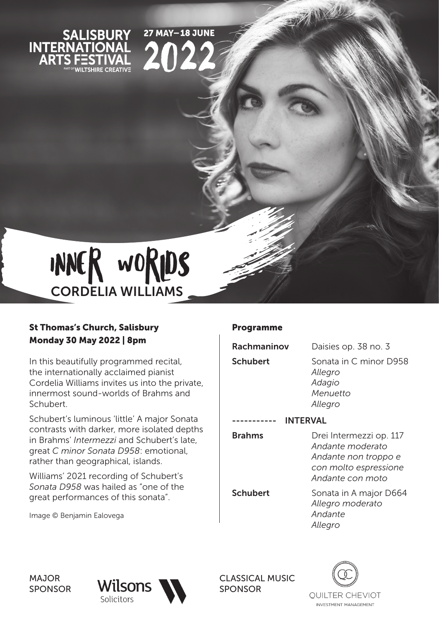

**27 MAY-18 JUNE** 

202



## St Thomas's Church, Salisbury Monday 30 May 2022 | 8pm

In this beautifully programmed recital, the internationally acclaimed pianist Cordelia Williams invites us into the private, innermost sound-worlds of Brahms and Schubert.

Schubert's luminous 'little' A major Sonata contrasts with darker, more isolated depths in Brahms' *Intermezzi* and Schubert's late, great *C minor Sonata D958*: emotional, rather than geographical, islands.

Williams' 2021 recording of Schubert's *Sonata D958* was hailed as "one of the great performances of this sonata".

Image © Benjamin Ealovega

## Programme

| Rachmaninov     | Daisies op. 38 no. 3                                                                                             |
|-----------------|------------------------------------------------------------------------------------------------------------------|
| <b>Schubert</b> | Sonata in C minor D958<br>Allegro<br>Adagio<br>Menuetto<br>Allegro                                               |
| <b>INTERVAL</b> |                                                                                                                  |
| <b>Brahms</b>   | Drei Intermezzi op. 117<br>Andante moderato<br>Andante non troppo e<br>con molto espressione<br>Andante con moto |
| <b>Schubert</b> | Sonata in A major D664<br>Allegro moderato<br>Andante<br>Allegro                                                 |

MAJOR SPONSOR



CLASSICAL MUSIC SPONSOR